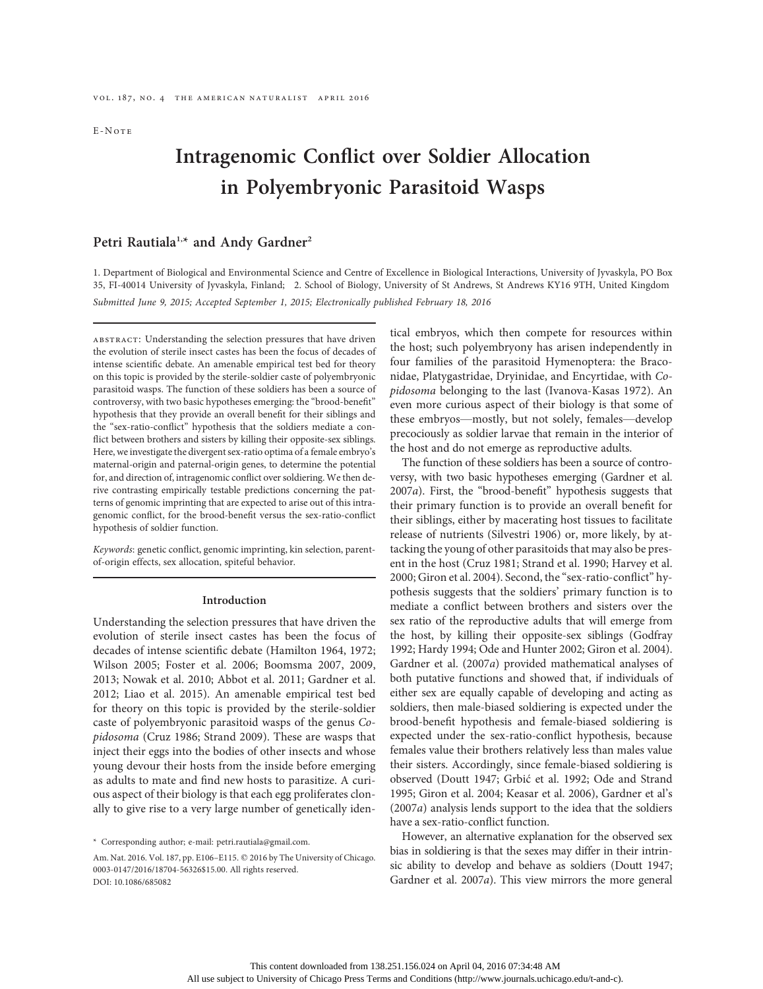E-Note

# Intragenomic Conflict over Soldier Allocation in Polyembryonic Parasitoid Wasps

# Petri Rautiala<sup>1,\*</sup> and Andy Gardner<sup>2</sup>

1. Department of Biological and Environmental Science and Centre of Excellence in Biological Interactions, University of Jyvaskyla, PO Box 35, FI-40014 University of Jyvaskyla, Finland; 2. School of Biology, University of St Andrews, St Andrews KY16 9TH, United Kingdom Submitted June 9, 2015; Accepted September 1, 2015; Electronically published February 18, 2016

abstract: Understanding the selection pressures that have driven the evolution of sterile insect castes has been the focus of decades of intense scientific debate. An amenable empirical test bed for theory on this topic is provided by the sterile-soldier caste of polyembryonic parasitoid wasps. The function of these soldiers has been a source of controversy, with two basic hypotheses emerging: the "brood-benefit" hypothesis that they provide an overall benefit for their siblings and the "sex-ratio-conflict" hypothesis that the soldiers mediate a conflict between brothers and sisters by killing their opposite-sex siblings. Here, we investigate the divergent sex-ratio optima of a female embryo's maternal-origin and paternal-origin genes, to determine the potential for, and direction of, intragenomic conflict over soldiering. We then derive contrasting empirically testable predictions concerning the patterns of genomic imprinting that are expected to arise out of this intragenomic conflict, for the brood-benefit versus the sex-ratio-conflict hypothesis of soldier function.

Keywords: genetic conflict, genomic imprinting, kin selection, parentof-origin effects, sex allocation, spiteful behavior.

#### Introduction

Understanding the selection pressures that have driven the evolution of sterile insect castes has been the focus of decades of intense scientific debate (Hamilton 1964, 1972; Wilson 2005; Foster et al. 2006; Boomsma 2007, 2009, 2013; Nowak et al. 2010; Abbot et al. 2011; Gardner et al. 2012; Liao et al. 2015). An amenable empirical test bed for theory on this topic is provided by the sterile-soldier caste of polyembryonic parasitoid wasps of the genus Copidosoma (Cruz 1986; Strand 2009). These are wasps that inject their eggs into the bodies of other insects and whose young devour their hosts from the inside before emerging as adults to mate and find new hosts to parasitize. A curious aspect of their biology is that each egg proliferates clonally to give rise to a very large number of genetically identical embryos, which then compete for resources within the host; such polyembryony has arisen independently in four families of the parasitoid Hymenoptera: the Braconidae, Platygastridae, Dryinidae, and Encyrtidae, with Copidosoma belonging to the last (Ivanova-Kasas 1972). An even more curious aspect of their biology is that some of these embryos—mostly, but not solely, females—develop precociously as soldier larvae that remain in the interior of the host and do not emerge as reproductive adults.

The function of these soldiers has been a source of controversy, with two basic hypotheses emerging (Gardner et al. 2007a). First, the "brood-benefit" hypothesis suggests that their primary function is to provide an overall benefit for their siblings, either by macerating host tissues to facilitate release of nutrients (Silvestri 1906) or, more likely, by attacking the young of other parasitoids that may also be present in the host (Cruz 1981; Strand et al. 1990; Harvey et al. 2000; Giron et al. 2004). Second, the "sex-ratio-conflict" hypothesis suggests that the soldiers' primary function is to mediate a conflict between brothers and sisters over the sex ratio of the reproductive adults that will emerge from the host, by killing their opposite-sex siblings (Godfray 1992; Hardy 1994; Ode and Hunter 2002; Giron et al. 2004). Gardner et al. (2007a) provided mathematical analyses of both putative functions and showed that, if individuals of either sex are equally capable of developing and acting as soldiers, then male-biased soldiering is expected under the brood-benefit hypothesis and female-biased soldiering is expected under the sex-ratio-conflict hypothesis, because females value their brothers relatively less than males value their sisters. Accordingly, since female-biased soldiering is observed (Doutt 1947; Grbić et al. 1992; Ode and Strand 1995; Giron et al. 2004; Keasar et al. 2006), Gardner et al's (2007a) analysis lends support to the idea that the soldiers have a sex-ratio-conflict function.

However, an alternative explanation for the observed sex bias in soldiering is that the sexes may differ in their intrinsic ability to develop and behave as soldiers (Doutt 1947; Gardner et al. 2007a). This view mirrors the more general

<sup>\*</sup> Corresponding author; e-mail: petri.rautiala@gmail.com.

Am. Nat. 2016. Vol. 187, pp. E106–E115.  $\odot$  2016 by The University of Chicago. 0003-0147/2016/18704-56326\$15.00. All rights reserved. DOI: 10.1086/685082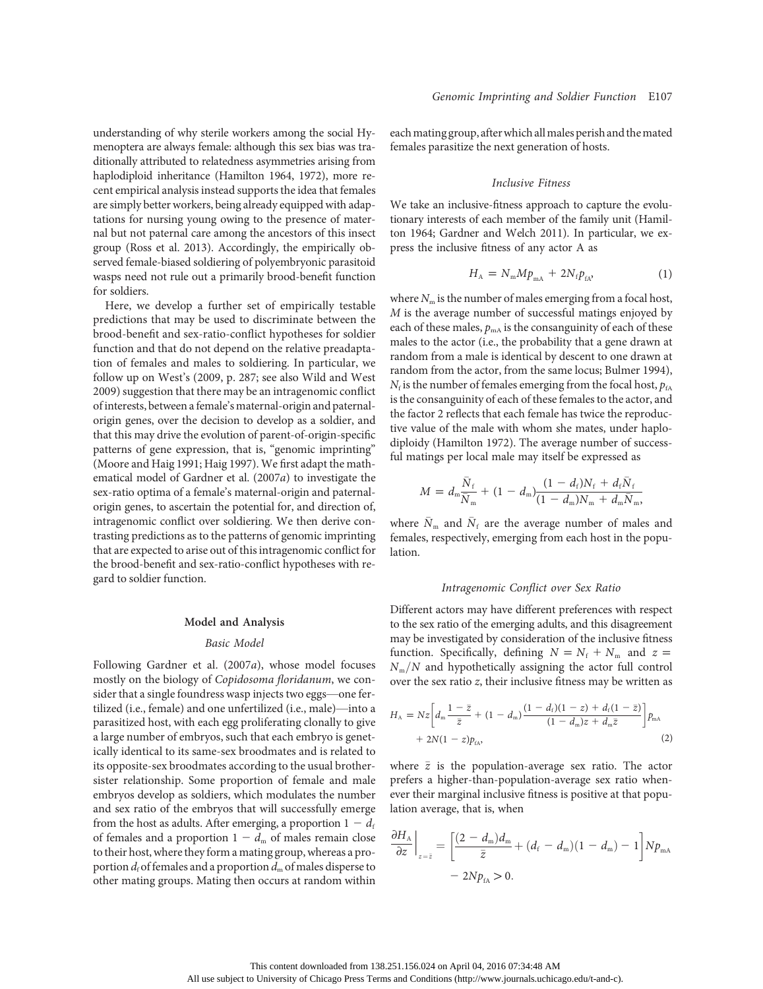understanding of why sterile workers among the social Hymenoptera are always female: although this sex bias was traditionally attributed to relatedness asymmetries arising from haplodiploid inheritance (Hamilton 1964, 1972), more recent empirical analysis instead supports the idea that females are simply better workers, being already equipped with adaptations for nursing young owing to the presence of maternal but not paternal care among the ancestors of this insect group (Ross et al. 2013). Accordingly, the empirically observed female-biased soldiering of polyembryonic parasitoid wasps need not rule out a primarily brood-benefit function for soldiers.

Here, we develop a further set of empirically testable predictions that may be used to discriminate between the brood-benefit and sex-ratio-conflict hypotheses for soldier function and that do not depend on the relative preadaptation of females and males to soldiering. In particular, we follow up on West's (2009, p. 287; see also Wild and West 2009) suggestion that there may be an intragenomic conflict of interests, between a female's maternal-origin and paternalorigin genes, over the decision to develop as a soldier, and that this may drive the evolution of parent-of-origin-specific patterns of gene expression, that is, "genomic imprinting" (Moore and Haig 1991; Haig 1997). We first adapt the mathematical model of Gardner et al. (2007a) to investigate the sex-ratio optima of a female's maternal-origin and paternalorigin genes, to ascertain the potential for, and direction of, intragenomic conflict over soldiering. We then derive contrasting predictions as to the patterns of genomic imprinting that are expected to arise out of this intragenomic conflict for the brood-benefit and sex-ratio-conflict hypotheses with regard to soldier function.

#### Model and Analysis

#### Basic Model

Following Gardner et al. (2007a), whose model focuses mostly on the biology of Copidosoma floridanum, we consider that a single foundress wasp injects two eggs—one fertilized (i.e., female) and one unfertilized (i.e., male)—into a parasitized host, with each egg proliferating clonally to give a large number of embryos, such that each embryo is genetically identical to its same-sex broodmates and is related to its opposite-sex broodmates according to the usual brothersister relationship. Some proportion of female and male embryos develop as soldiers, which modulates the number and sex ratio of the embryos that will successfully emerge from the host as adults. After emerging, a proportion  $1 - d_f$ of females and a proportion  $1 - d_m$  of males remain close to their host, where they form a mating group, whereas a proportion  $d_f$  of females and a proportion  $d_m$  of males disperse to other mating groups. Mating then occurs at random within eachmating group, afterwhich allmales perish and themated females parasitize the next generation of hosts.

#### Inclusive Fitness

We take an inclusive-fitness approach to capture the evolutionary interests of each member of the family unit (Hamilton 1964; Gardner and Welch 2011). In particular, we express the inclusive fitness of any actor A as

$$
H_{\rm A} = N_{\rm m} M p_{\rm mA} + 2N_{\rm f} p_{\rm fA}, \tag{1}
$$

where  $N_m$  is the number of males emerging from a focal host, M is the average number of successful matings enjoyed by each of these males,  $p_{\text{mA}}$  is the consanguinity of each of these males to the actor (i.e., the probability that a gene drawn at random from a male is identical by descent to one drawn at random from the actor, from the same locus; Bulmer 1994),  $N_f$  is the number of females emerging from the focal host,  $p_{fa}$ is the consanguinity of each of these females to the actor, and the factor 2 reflects that each female has twice the reproductive value of the male with whom she mates, under haplodiploidy (Hamilton 1972). The average number of successful matings per local male may itself be expressed as

$$
M = d_{\rm m} \frac{\bar{N}_{\rm f}}{\bar{N}_{\rm m}} + (1 - d_{\rm m}) \frac{(1 - d_{\rm f})N_{\rm f} + d_{\rm f} \bar{N}_{\rm f}}{(1 - d_{\rm m})N_{\rm m} + d_{\rm m} \bar{N}_{\rm m}},
$$

where  $\bar{N}_m$  and  $\bar{N}_f$  are the average number of males and females, respectively, emerging from each host in the population.

#### Intragenomic Conflict over Sex Ratio

Different actors may have different preferences with respect to the sex ratio of the emerging adults, and this disagreement may be investigated by consideration of the inclusive fitness function. Specifically, defining  $N = N_f + N_m$  and  $z =$  $N_m/N$  and hypothetically assigning the actor full control over the sex ratio z, their inclusive fitness may be written as

$$
H_{A} = Nz \bigg[ d_{\rm m} \frac{1 - \bar{z}}{\bar{z}} + (1 - d_{\rm m}) \frac{(1 - d_{\rm f})(1 - z) + d_{\rm f}(1 - \bar{z})}{(1 - d_{\rm m})z + d_{\rm m}\bar{z}} \bigg] p_{\rm m} A + 2N(1 - z) p_{\rm f} A,
$$
\n(2)

where  $\bar{z}$  is the population-average sex ratio. The actor prefers a higher-than-population-average sex ratio whenever their marginal inclusive fitness is positive at that population average, that is, when

$$
\frac{\partial H_{\text{A}}}{\partial z}\Big|_{z=\bar{z}} = \left[\frac{(2-d_{\text{m}})d_{\text{m}}}{\bar{z}} + (d_{\text{f}} - d_{\text{m}})(1 - d_{\text{m}}) - 1\right]Np_{\text{mA}}
$$

$$
- 2Np_{\text{fa}} > 0.
$$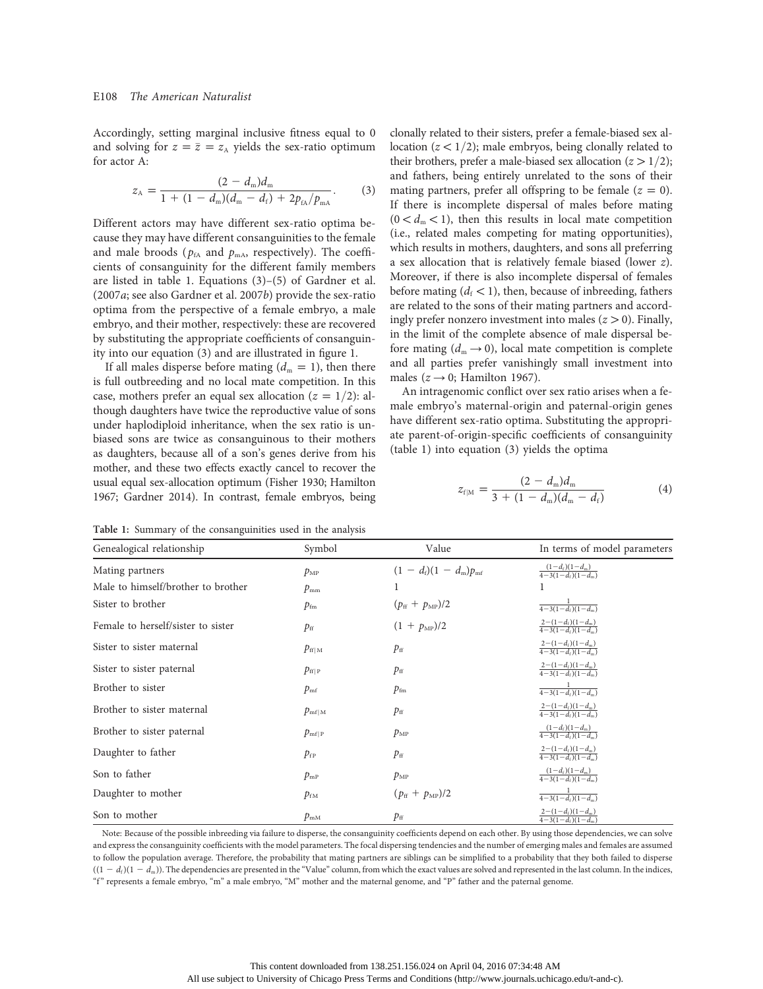Accordingly, setting marginal inclusive fitness equal to 0 and solving for  $z = \overline{z} = z_A$  yields the sex-ratio optimum for actor A:

$$
z_{A} = \frac{(2-d_{\rm m})d_{\rm m}}{1+(1-d_{\rm m})(d_{\rm m}-d_{\rm f})+2p_{\rm fa}/p_{\rm mA}}.
$$
 (3)

Different actors may have different sex-ratio optima because they may have different consanguinities to the female and male broods ( $p_{fA}$  and  $p_{mA}$ , respectively). The coefficients of consanguinity for the different family members are listed in table 1. Equations (3)–(5) of Gardner et al. (2007a; see also Gardner et al. 2007b) provide the sex-ratio optima from the perspective of a female embryo, a male embryo, and their mother, respectively: these are recovered by substituting the appropriate coefficients of consanguinity into our equation (3) and are illustrated in figure 1.

If all males disperse before mating  $(d_m = 1)$ , then there is full outbreeding and no local mate competition. In this case, mothers prefer an equal sex allocation ( $z = 1/2$ ): although daughters have twice the reproductive value of sons under haplodiploid inheritance, when the sex ratio is unbiased sons are twice as consanguinous to their mothers as daughters, because all of a son's genes derive from his mother, and these two effects exactly cancel to recover the usual equal sex-allocation optimum (Fisher 1930; Hamilton 1967; Gardner 2014). In contrast, female embryos, being clonally related to their sisters, prefer a female-biased sex allocation ( $z < 1/2$ ); male embryos, being clonally related to their brothers, prefer a male-biased sex allocation ( $z > 1/2$ ); and fathers, being entirely unrelated to the sons of their mating partners, prefer all offspring to be female  $(z = 0)$ . If there is incomplete dispersal of males before mating  $(0 < d<sub>m</sub> < 1)$ , then this results in local mate competition (i.e., related males competing for mating opportunities), which results in mothers, daughters, and sons all preferring a sex allocation that is relatively female biased (lower z). Moreover, if there is also incomplete dispersal of females before mating  $(d_f < 1)$ , then, because of inbreeding, fathers are related to the sons of their mating partners and accordingly prefer nonzero investment into males  $(z > 0)$ . Finally, in the limit of the complete absence of male dispersal before mating  $(d_m \rightarrow 0)$ , local mate competition is complete and all parties prefer vanishingly small investment into males ( $z \rightarrow 0$ ; Hamilton 1967).

An intragenomic conflict over sex ratio arises when a female embryo's maternal-origin and paternal-origin genes have different sex-ratio optima. Substituting the appropriate parent-of-origin-specific coefficients of consanguinity (table 1) into equation (3) yields the optima

$$
z_{f|M} = \frac{(2-d_{m})d_{m}}{3 + (1-d_{m})(d_{m} - d_{f})}
$$
(4)

Table 1: Summary of the consanguinities used in the analysis

| Genealogical relationship          | Symbol          | Value                             | In terms of model parameters                                         |
|------------------------------------|-----------------|-----------------------------------|----------------------------------------------------------------------|
| Mating partners                    | $p_{\text{MP}}$ | $(1 - d_f)(1 - d_m)p_{\text{mf}}$ | $\frac{(1-d_{\rm f})(1-d_{\rm m})}{4-3(1-d_{\rm f})(1-d_{\rm m})}$   |
| Male to himself/brother to brother | $p_{\rm mm}$    |                                   | 1                                                                    |
| Sister to brother                  | $p_{\rm fm}$    | $(p_{\rm ff} + p_{\rm MP})/2$     | $\frac{1}{4-3(1-d_{\rm f})(1-d_{\rm m})}$                            |
| Female to herself/sister to sister | $p_{\rm ff}$    | $(1 + p_{MP})/2$                  | $\frac{2-(1-d_{\rm f})(1-d_{\rm m})}{4-3(1-d_{\rm f})(1-d_{\rm m})}$ |
| Sister to sister maternal          | $p_{\rm ff M}$  | $p_{\rm ff}$                      | $\frac{2-(1-d_{\rm f})(1-d_{\rm m})}{4-3(1-d_{\rm f})(1-d_{\rm m})}$ |
| Sister to sister paternal          | $p_{\rm ff P}$  | $p_{\rm ff}$                      | $\frac{2-(1-d_{\rm f})(1-d_{\rm m})}{4-3(1-d_{\rm f})(1-d_{\rm m})}$ |
| Brother to sister                  | $p_{\rm mf}$    | $p_{\rm fm}$                      | $\frac{1}{4-3(1-d_i)(1-d_m)}$                                        |
| Brother to sister maternal         | $p_{\rm mf M}$  | $p_{\rm ff}$                      | $\frac{2-(1-d_{\rm f})(1-d_{\rm m})}{4-3(1-d_{\rm f})(1-d_{\rm m})}$ |
| Brother to sister paternal         | $p_{\rm mflp}$  | $p_{\text{MP}}$                   | $\frac{(1-d_i)(1-d_m)}{4-3(1-d_i)(1-d_m)}$                           |
| Daughter to father                 | $p_{\rm fp}$    | $p_{\rm ff}$                      | $\frac{2-(1-d_{\rm f})(1-d_{\rm m})}{4-3(1-d_{\rm f})(1-d_{\rm m})}$ |
| Son to father                      | $p_{\rm mp}$    | $p_{\text{MP}}$                   | $\frac{(1-d_{\rm f})(1-d_{\rm m})}{4-3(1-d_{\rm f})(1-d_{\rm m})}$   |
| Daughter to mother                 | $p_{\rm{fm}}$   | $(p_{\rm ff} + p_{\rm MP})/2$     | $\frac{1}{4-3(1-d_{\rm f})(1-d_{\rm m})}$                            |
| Son to mother                      | $p_{\rm mM}$    | $p_{\rm ff}$                      | $\frac{2-(1-d_{\rm f})(1-d_{\rm m})}{4-3(1-d_{\rm f})(1-d_{\rm m})}$ |

Note: Because of the possible inbreeding via failure to disperse, the consanguinity coefficients depend on each other. By using those dependencies, we can solve and express the consanguinity coefficients with the model parameters. The focal dispersing tendencies and the number of emerging males and females are assumed to follow the population average. Therefore, the probability that mating partners are siblings can be simplified to a probability that they both failed to disperse  $((1 - d_i)(1 - d_m))$ . The dependencies are presented in the "Value" column, from which the exact values are solved and represented in the last column. In the indices, "f" represents a female embryo, "m" a male embryo, "M" mother and the maternal genome, and "P" father and the paternal genome.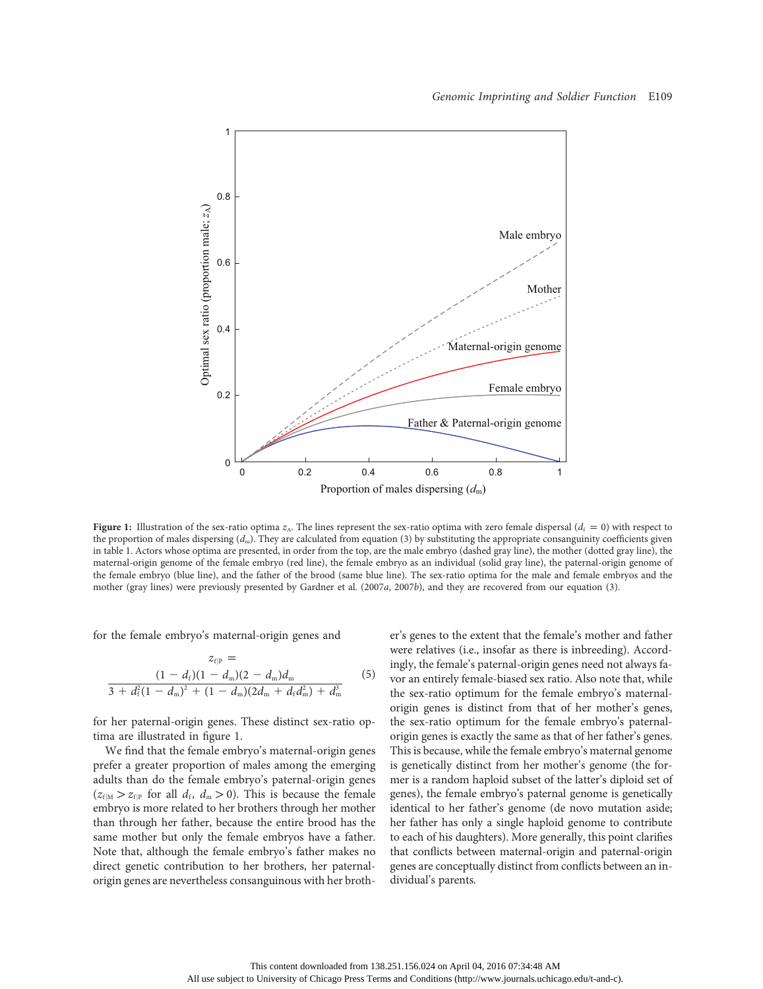

**Figure 1:** Illustration of the sex-ratio optima  $z_A$ . The lines represent the sex-ratio optima with zero female dispersal ( $d_f = 0$ ) with respect to the proportion of males dispersing  $(d_m)$ . They are calculated from equation (3) by substituting the appropriate consanguinity coefficients given in table 1. Actors whose optima are presented, in order from the top, are the male embryo (dashed gray line), the mother (dotted gray line), the maternal-origin genome of the female embryo (red line), the female embryo as an individual (solid gray line), the paternal-origin genome of the female embryo (blue line), and the father of the brood (same blue line). The sex-ratio optima for the male and female embryos and the mother (gray lines) were previously presented by Gardner et al. (2007a, 2007b), and they are recovered from our equation (3).

for the female embryo's maternal-origin genes and

$$
z_{f|P} =
$$
  
\n
$$
\frac{(1 - d_f)(1 - d_m)(2 - d_m)d_m}{3 + d_f^2(1 - d_m)^2 + (1 - d_m)(2d_m + d_f d_m^2) + d_m^3}
$$
\n(5)

for her paternal-origin genes. These distinct sex-ratio optima are illustrated in figure 1.

We find that the female embryo's maternal-origin genes prefer a greater proportion of males among the emerging adults than do the female embryo's paternal-origin genes  $(z_{\text{f}|\text{M}} > z_{\text{f}|\text{P}}$  for all  $d_{\text{f}}$ ,  $d_{\text{m}} > 0$ ). This is because the female embryo is more related to her brothers through her mother than through her father, because the entire brood has the same mother but only the female embryos have a father. Note that, although the female embryo's father makes no direct genetic contribution to her brothers, her paternalorigin genes are nevertheless consanguinous with her brother's genes to the extent that the female's mother and father were relatives (i.e., insofar as there is inbreeding). Accordingly, the female's paternal-origin genes need not always favor an entirely female-biased sex ratio. Also note that, while the sex-ratio optimum for the female embryo's maternalorigin genes is distinct from that of her mother's genes, the sex-ratio optimum for the female embryo's paternalorigin genes is exactly the same as that of her father's genes. This is because, while the female embryo's maternal genome is genetically distinct from her mother's genome (the former is a random haploid subset of the latter's diploid set of genes), the female embryo's paternal genome is genetically identical to her father's genome (de novo mutation aside; her father has only a single haploid genome to contribute to each of his daughters). More generally, this point clarifies that conflicts between maternal-origin and paternal-origin genes are conceptually distinct from conflicts between an individual's parents.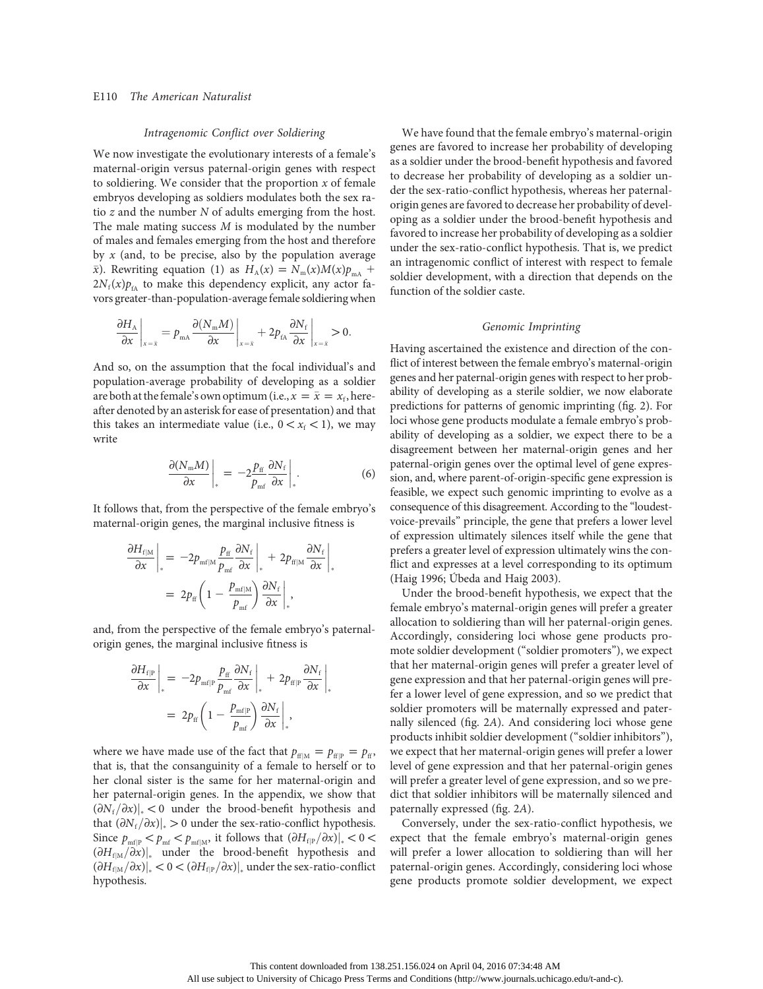## E110 The American Naturalist

#### Intragenomic Conflict over Soldiering

We now investigate the evolutionary interests of a female's maternal-origin versus paternal-origin genes with respect to soldiering. We consider that the proportion  $x$  of female embryos developing as soldiers modulates both the sex ratio z and the number N of adults emerging from the host. The male mating success  $M$  is modulated by the number of males and females emerging from the host and therefore by  $x$  (and, to be precise, also by the population average  $\bar{x}$ ). Rewriting equation (1) as  $H_A(x) = N_m(x)M(x)p_{mA}$  +  $2N_f(x)p_fA$  to make this dependency explicit, any actor favors greater-than-population-average female soldiering when

$$
\left. \frac{\partial H_{\text{A}}}{\partial x} \right|_{x=\bar{x}} = p_{\text{mA}} \frac{\partial (N_{\text{m}} M)}{\partial x} \bigg|_{x=\bar{x}} + 2p_{\text{fa}} \frac{\partial N_{\text{f}}}{\partial x} \bigg|_{x=\bar{x}} > 0.
$$

And so, on the assumption that the focal individual's and population-average probability of developing as a soldier are both at the female's own optimum (i.e.,  $x = \bar{x} = x_f$ , hereafter denoted by an asterisk for ease of presentation) and that this takes an intermediate value (i.e.,  $0 < x_f < 1$ ), we may write

$$
\left. \frac{\partial (N_{\rm m} M)}{\partial x} \right|_{*} = -2 \frac{p_{\rm ff}}{p_{\rm mf}} \frac{\partial N_{\rm f}}{\partial x} \bigg|_{*} . \tag{6}
$$

\*

It follows that, from the perspective of the female embryo's maternal-origin genes, the marginal inclusive fitness is

$$
\frac{\partial H_{\rm{f}|\rm{M}}}{\partial x}\Big|_{*} = -2p_{\rm{mf}|\rm{M}}\frac{p_{\rm{ff}}}{p_{\rm{mf}}}\frac{\partial N_{\rm{f}}}{\partial x}\Big|_{*} + 2p_{\rm{ff}|\rm{M}}\frac{\partial N_{\rm{f}}}{\partial x}\Big|
$$

$$
= 2p_{\rm{ff}}\left(1 - \frac{p_{\rm{mf}|\rm{M}}}{p_{\rm{mf}}}\right)\frac{\partial N_{\rm{f}}}{\partial x}\Big|_{*},
$$

and, from the perspective of the female embryo's paternalorigin genes, the marginal inclusive fitness is

$$
\frac{\partial H_{\text{f|P}}}{\partial x}\Big|_* = -2p_{\text{mf|P}}\frac{p_{\text{ff}}}{p_{\text{mf}}}\frac{\partial N_{\text{f}}}{\partial x}\Big|_* + 2p_{\text{ff|P}}\frac{\partial N_{\text{f}}}{\partial x}\Big|_*= 2p_{\text{ff}}\left(1 - \frac{p_{\text{mf|P}}}{p_{\text{mf}}}\right)\frac{\partial N_{\text{f}}}{\partial x}\Big|_*,
$$

where we have made use of the fact that  $p_{ff|M} = p_{ff} = p_{ff}$ , that is, that the consanguinity of a female to herself or to her clonal sister is the same for her maternal-origin and her paternal-origin genes. In the appendix, we show that  $(\partial N_f/\partial x)|_* < 0$  under the brood-benefit hypothesis and that  $(\partial N_f/\partial x)|_* > 0$  under the sex-ratio-conflict hypothesis. Since  $p_{\text{mf}} > p_{\text{mf}} < p_{\text{mf}|M}$ , it follows that  $(\partial H_{f|P}/\partial x)|_* < 0 <$  $(\partial H_{f|M}/\partial x)|_*$  under the brood-benefit hypothesis and  $(\partial H_{\text{f}|\text{M}}/\partial x)\big|_* < 0 < (\partial H_{\text{f}|\text{P}}/\partial x)\big|_*$  under the sex-ratio-conflict hypothesis.

We have found that the female embryo's maternal-origin genes are favored to increase her probability of developing as a soldier under the brood-benefit hypothesis and favored to decrease her probability of developing as a soldier under the sex-ratio-conflict hypothesis, whereas her paternalorigin genes are favored to decrease her probability of developing as a soldier under the brood-benefit hypothesis and favored to increase her probability of developing as a soldier under the sex-ratio-conflict hypothesis. That is, we predict an intragenomic conflict of interest with respect to female soldier development, with a direction that depends on the function of the soldier caste.

#### Genomic Imprinting

Having ascertained the existence and direction of the conflict of interest between the female embryo's maternal-origin genes and her paternal-origin genes with respect to her probability of developing as a sterile soldier, we now elaborate predictions for patterns of genomic imprinting (fig. 2). For loci whose gene products modulate a female embryo's probability of developing as a soldier, we expect there to be a disagreement between her maternal-origin genes and her paternal-origin genes over the optimal level of gene expression, and, where parent-of-origin-specific gene expression is feasible, we expect such genomic imprinting to evolve as a consequence of this disagreement. According to the "loudestvoice-prevails" principle, the gene that prefers a lower level of expression ultimately silences itself while the gene that prefers a greater level of expression ultimately wins the conflict and expresses at a level corresponding to its optimum (Haig 1996; Úbeda and Haig 2003).

Under the brood-benefit hypothesis, we expect that the female embryo's maternal-origin genes will prefer a greater allocation to soldiering than will her paternal-origin genes. Accordingly, considering loci whose gene products promote soldier development ("soldier promoters"), we expect that her maternal-origin genes will prefer a greater level of gene expression and that her paternal-origin genes will prefer a lower level of gene expression, and so we predict that soldier promoters will be maternally expressed and paternally silenced (fig. 2A). And considering loci whose gene products inhibit soldier development ("soldier inhibitors"), we expect that her maternal-origin genes will prefer a lower level of gene expression and that her paternal-origin genes will prefer a greater level of gene expression, and so we predict that soldier inhibitors will be maternally silenced and paternally expressed (fig. 2A).

Conversely, under the sex-ratio-conflict hypothesis, we expect that the female embryo's maternal-origin genes will prefer a lower allocation to soldiering than will her paternal-origin genes. Accordingly, considering loci whose gene products promote soldier development, we expect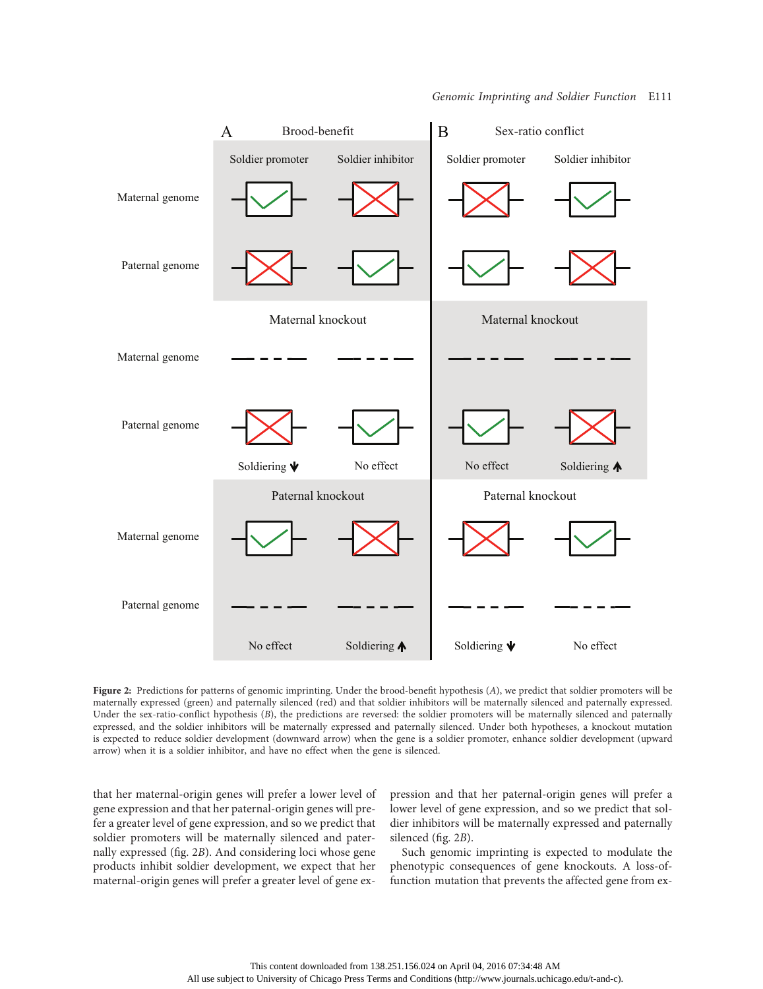

Figure 2: Predictions for patterns of genomic imprinting. Under the brood-benefit hypothesis (A), we predict that soldier promoters will be maternally expressed (green) and paternally silenced (red) and that soldier inhibitors will be maternally silenced and paternally expressed. Under the sex-ratio-conflict hypothesis (B), the predictions are reversed: the soldier promoters will be maternally silenced and paternally expressed, and the soldier inhibitors will be maternally expressed and paternally silenced. Under both hypotheses, a knockout mutation is expected to reduce soldier development (downward arrow) when the gene is a soldier promoter, enhance soldier development (upward arrow) when it is a soldier inhibitor, and have no effect when the gene is silenced.

that her maternal-origin genes will prefer a lower level of gene expression and that her paternal-origin genes will prefer a greater level of gene expression, and so we predict that soldier promoters will be maternally silenced and paternally expressed (fig. 2B). And considering loci whose gene products inhibit soldier development, we expect that her maternal-origin genes will prefer a greater level of gene expression and that her paternal-origin genes will prefer a lower level of gene expression, and so we predict that soldier inhibitors will be maternally expressed and paternally silenced (fig. 2B).

Such genomic imprinting is expected to modulate the phenotypic consequences of gene knockouts. A loss-offunction mutation that prevents the affected gene from ex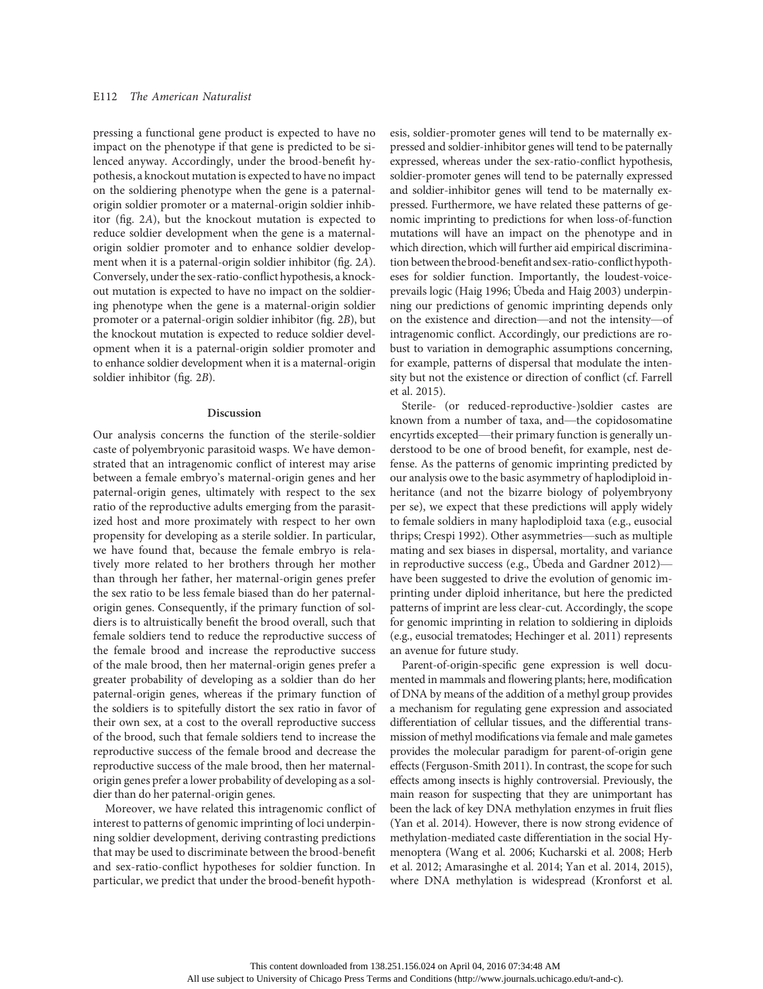pressing a functional gene product is expected to have no impact on the phenotype if that gene is predicted to be silenced anyway. Accordingly, under the brood-benefit hypothesis, a knockout mutation is expected to have no impact on the soldiering phenotype when the gene is a paternalorigin soldier promoter or a maternal-origin soldier inhibitor (fig. 2A), but the knockout mutation is expected to reduce soldier development when the gene is a maternalorigin soldier promoter and to enhance soldier development when it is a paternal-origin soldier inhibitor (fig. 2A). Conversely, under the sex-ratio-conflict hypothesis, a knockout mutation is expected to have no impact on the soldiering phenotype when the gene is a maternal-origin soldier promoter or a paternal-origin soldier inhibitor (fig. 2B), but the knockout mutation is expected to reduce soldier development when it is a paternal-origin soldier promoter and to enhance soldier development when it is a maternal-origin soldier inhibitor (fig. 2B).

#### Discussion

Our analysis concerns the function of the sterile-soldier caste of polyembryonic parasitoid wasps. We have demonstrated that an intragenomic conflict of interest may arise between a female embryo's maternal-origin genes and her paternal-origin genes, ultimately with respect to the sex ratio of the reproductive adults emerging from the parasitized host and more proximately with respect to her own propensity for developing as a sterile soldier. In particular, we have found that, because the female embryo is relatively more related to her brothers through her mother than through her father, her maternal-origin genes prefer the sex ratio to be less female biased than do her paternalorigin genes. Consequently, if the primary function of soldiers is to altruistically benefit the brood overall, such that female soldiers tend to reduce the reproductive success of the female brood and increase the reproductive success of the male brood, then her maternal-origin genes prefer a greater probability of developing as a soldier than do her paternal-origin genes, whereas if the primary function of the soldiers is to spitefully distort the sex ratio in favor of their own sex, at a cost to the overall reproductive success of the brood, such that female soldiers tend to increase the reproductive success of the female brood and decrease the reproductive success of the male brood, then her maternalorigin genes prefer a lower probability of developing as a soldier than do her paternal-origin genes.

Moreover, we have related this intragenomic conflict of interest to patterns of genomic imprinting of loci underpinning soldier development, deriving contrasting predictions that may be used to discriminate between the brood-benefit and sex-ratio-conflict hypotheses for soldier function. In particular, we predict that under the brood-benefit hypothesis, soldier-promoter genes will tend to be maternally expressed and soldier-inhibitor genes will tend to be paternally expressed, whereas under the sex-ratio-conflict hypothesis, soldier-promoter genes will tend to be paternally expressed and soldier-inhibitor genes will tend to be maternally expressed. Furthermore, we have related these patterns of genomic imprinting to predictions for when loss-of-function mutations will have an impact on the phenotype and in which direction, which will further aid empirical discrimination between the brood-benefitand sex-ratio-conflicthypotheses for soldier function. Importantly, the loudest-voiceprevails logic (Haig 1996; Úbeda and Haig 2003) underpinning our predictions of genomic imprinting depends only on the existence and direction—and not the intensity—of intragenomic conflict. Accordingly, our predictions are robust to variation in demographic assumptions concerning, for example, patterns of dispersal that modulate the intensity but not the existence or direction of conflict (cf. Farrell et al. 2015).

Sterile- (or reduced-reproductive-)soldier castes are known from a number of taxa, and—the copidosomatine encyrtids excepted—their primary function is generally understood to be one of brood benefit, for example, nest defense. As the patterns of genomic imprinting predicted by our analysis owe to the basic asymmetry of haplodiploid inheritance (and not the bizarre biology of polyembryony per se), we expect that these predictions will apply widely to female soldiers in many haplodiploid taxa (e.g., eusocial thrips; Crespi 1992). Other asymmetries—such as multiple mating and sex biases in dispersal, mortality, and variance in reproductive success (e.g., Úbeda and Gardner 2012) have been suggested to drive the evolution of genomic imprinting under diploid inheritance, but here the predicted patterns of imprint are less clear-cut. Accordingly, the scope for genomic imprinting in relation to soldiering in diploids (e.g., eusocial trematodes; Hechinger et al. 2011) represents an avenue for future study.

Parent-of-origin-specific gene expression is well documented in mammals and flowering plants; here, modification of DNA by means of the addition of a methyl group provides a mechanism for regulating gene expression and associated differentiation of cellular tissues, and the differential transmission of methyl modifications via female and male gametes provides the molecular paradigm for parent-of-origin gene effects (Ferguson-Smith 2011). In contrast, the scope for such effects among insects is highly controversial. Previously, the main reason for suspecting that they are unimportant has been the lack of key DNA methylation enzymes in fruit flies (Yan et al. 2014). However, there is now strong evidence of methylation-mediated caste differentiation in the social Hymenoptera (Wang et al. 2006; Kucharski et al. 2008; Herb et al. 2012; Amarasinghe et al. 2014; Yan et al. 2014, 2015), where DNA methylation is widespread (Kronforst et al.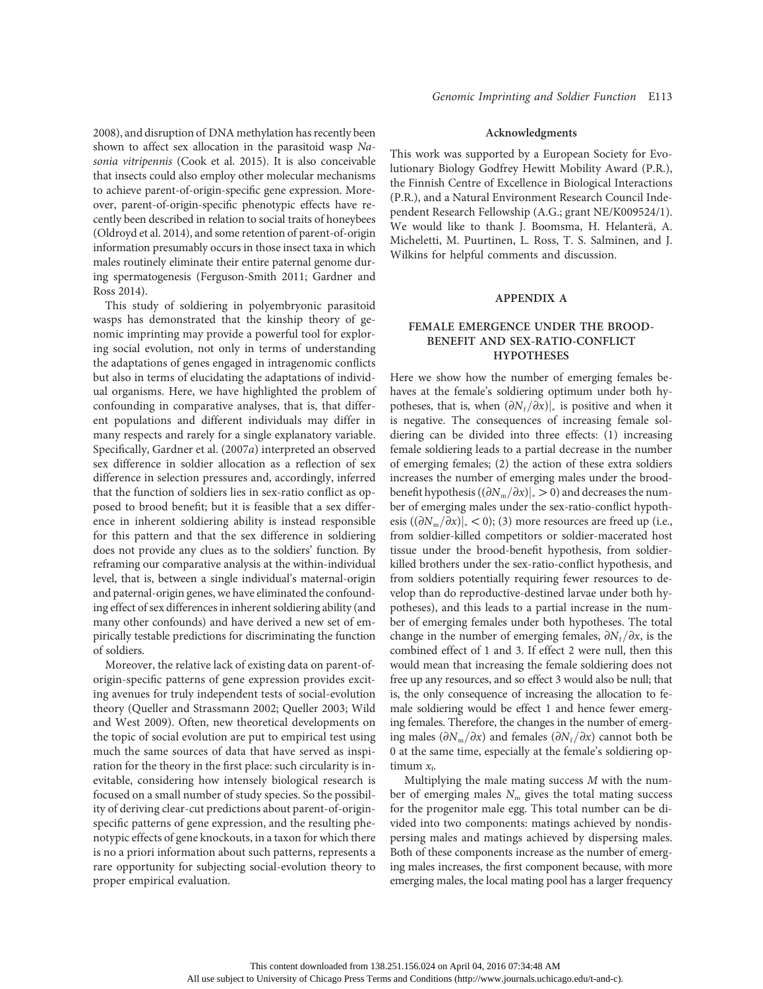2008), and disruption of DNA methylation has recently been shown to affect sex allocation in the parasitoid wasp Nasonia vitripennis (Cook et al. 2015). It is also conceivable that insects could also employ other molecular mechanisms to achieve parent-of-origin-specific gene expression. Moreover, parent-of-origin-specific phenotypic effects have recently been described in relation to social traits of honeybees (Oldroyd et al. 2014), and some retention of parent-of-origin information presumably occurs in those insect taxa in which males routinely eliminate their entire paternal genome during spermatogenesis (Ferguson-Smith 2011; Gardner and Ross 2014).

This study of soldiering in polyembryonic parasitoid wasps has demonstrated that the kinship theory of genomic imprinting may provide a powerful tool for exploring social evolution, not only in terms of understanding the adaptations of genes engaged in intragenomic conflicts but also in terms of elucidating the adaptations of individual organisms. Here, we have highlighted the problem of confounding in comparative analyses, that is, that different populations and different individuals may differ in many respects and rarely for a single explanatory variable. Specifically, Gardner et al. (2007a) interpreted an observed sex difference in soldier allocation as a reflection of sex difference in selection pressures and, accordingly, inferred that the function of soldiers lies in sex-ratio conflict as opposed to brood benefit; but it is feasible that a sex difference in inherent soldiering ability is instead responsible for this pattern and that the sex difference in soldiering does not provide any clues as to the soldiers' function. By reframing our comparative analysis at the within-individual level, that is, between a single individual's maternal-origin and paternal-origin genes, we have eliminated the confounding effect of sex differences in inherent soldiering ability (and many other confounds) and have derived a new set of empirically testable predictions for discriminating the function of soldiers.

Moreover, the relative lack of existing data on parent-oforigin-specific patterns of gene expression provides exciting avenues for truly independent tests of social-evolution theory (Queller and Strassmann 2002; Queller 2003; Wild and West 2009). Often, new theoretical developments on the topic of social evolution are put to empirical test using much the same sources of data that have served as inspiration for the theory in the first place: such circularity is inevitable, considering how intensely biological research is focused on a small number of study species. So the possibility of deriving clear-cut predictions about parent-of-originspecific patterns of gene expression, and the resulting phenotypic effects of gene knockouts, in a taxon for which there is no a priori information about such patterns, represents a rare opportunity for subjecting social-evolution theory to proper empirical evaluation.

# Acknowledgments

This work was supported by a European Society for Evolutionary Biology Godfrey Hewitt Mobility Award (P.R.), the Finnish Centre of Excellence in Biological Interactions (P.R.), and a Natural Environment Research Council Independent Research Fellowship (A.G.; grant NE/K009524/1). We would like to thank J. Boomsma, H. Helanterä, A. Micheletti, M. Puurtinen, L. Ross, T. S. Salminen, and J. Wilkins for helpful comments and discussion.

# APPENDIX A

# FEMALE EMERGENCE UNDER THE BROOD-BENEFIT AND SEX-RATIO-CONFLICT HYPOTHESES

Here we show how the number of emerging females behaves at the female's soldiering optimum under both hypotheses, that is, when  $(\partial N_f/\partial x)|_*$  is positive and when it is negative. The consequences of increasing female soldiering can be divided into three effects: (1) increasing female soldiering leads to a partial decrease in the number of emerging females; (2) the action of these extra soldiers increases the number of emerging males under the broodbenefit hypothesis ( $(\partial N_{\rm m}/\partial x)|_* > 0$ ) and decreases the number of emerging males under the sex-ratio-conflict hypothesis ( $(\partial N_{\rm m}/\partial x)|_* < 0$ ); (3) more resources are freed up (i.e., from soldier-killed competitors or soldier-macerated host tissue under the brood-benefit hypothesis, from soldierkilled brothers under the sex-ratio-conflict hypothesis, and from soldiers potentially requiring fewer resources to develop than do reproductive-destined larvae under both hypotheses), and this leads to a partial increase in the number of emerging females under both hypotheses. The total change in the number of emerging females,  $\partial N_f/\partial x$ , is the combined effect of 1 and 3. If effect 2 were null, then this would mean that increasing the female soldiering does not free up any resources, and so effect 3 would also be null; that is, the only consequence of increasing the allocation to female soldiering would be effect 1 and hence fewer emerging females. Therefore, the changes in the number of emerging males ( $\partial N_{\rm m}/\partial x$ ) and females ( $\partial N_{\rm f}/\partial x$ ) cannot both be 0 at the same time, especially at the female's soldiering optimum  $x_f$ .

Multiplying the male mating success  $M$  with the number of emerging males  $N<sub>m</sub>$  gives the total mating success for the progenitor male egg. This total number can be divided into two components: matings achieved by nondispersing males and matings achieved by dispersing males. Both of these components increase as the number of emerging males increases, the first component because, with more emerging males, the local mating pool has a larger frequency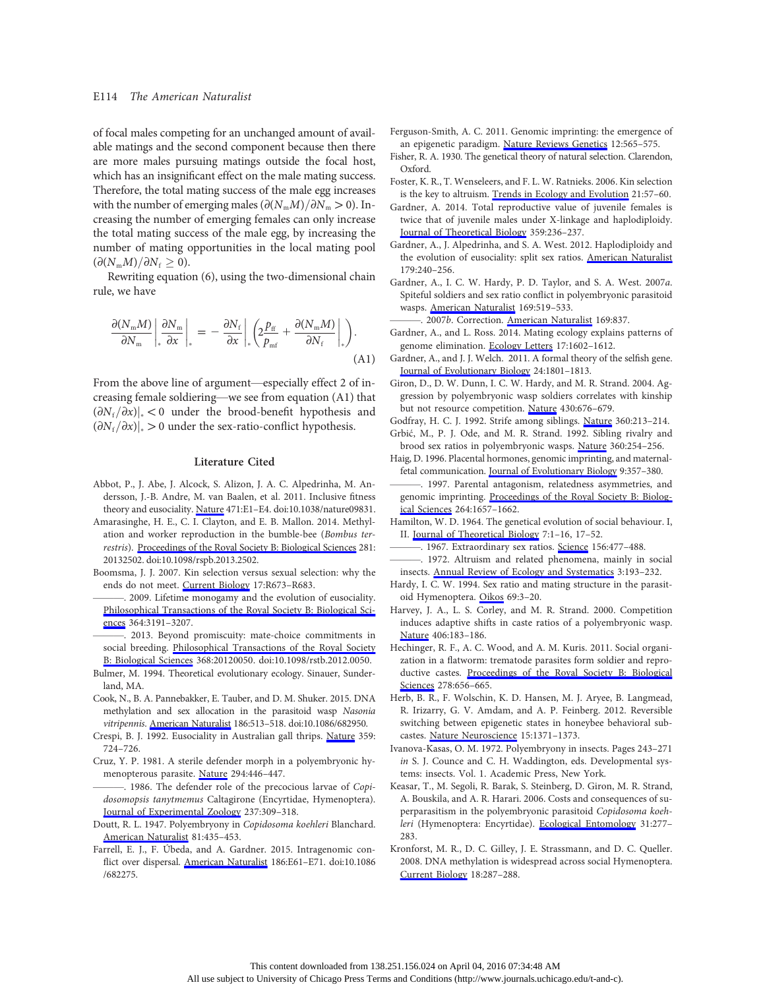of focal males competing for an unchanged amount of available matings and the second component because then there are more males pursuing matings outside the focal host, which has an insignificant effect on the male mating success. Therefore, the total mating success of the male egg increases with the number of emerging males  $(\partial (N_mM)/\partial N_m > 0)$ . Increasing the number of emerging females can only increase the total mating success of the male egg, by increasing the number of mating opportunities in the local mating pool  $\left(\partial (N_{\rm m}M)/\partial N_{\rm f}\geq 0\right).$ 

Rewriting equation (6), using the two-dimensional chain rule, we have

$$
\frac{\partial(N_{\rm m}M)}{\partial N_{\rm m}}\bigg|_{*}\frac{\partial N_{\rm m}}{\partial x}\bigg|_{*} = -\frac{\partial N_{\rm f}}{\partial x}\bigg|_{*}\bigg(2\frac{p_{\rm ff}}{p_{\rm mf}}+\frac{\partial(N_{\rm m}M)}{\partial N_{\rm f}}\bigg|_{*}\bigg).
$$
\n(A1)

From the above line of argument—especially effect 2 of increasing female soldiering—we see from equation (A1) that  $(\partial N_f/\partial x)|_* < 0$  under the brood-benefit hypothesis and  $(\partial N_f/\partial x)|_* > 0$  under the sex-ratio-conflict hypothesis.

## Literature Cited

- Abbot, P., J. Abe, J. Alcock, S. Alizon, J. A. C. Alpedrinha, M. Andersson, J.-B. Andre, M. van Baalen, et al. 2011. Inclusive fitness theory and eusociality. [Nature](http://www.journals.uchicago.edu/action/showLinks?pmid=21430721&crossref=10.1038%2Fnature09831) 471:E1–E4. doi:10.1038/nature09831.
- Amarasinghe, H. E., C. I. Clayton, and E. B. Mallon. 2014. Methylation and worker reproduction in the bumble-bee (Bombus ter-restris). [Proceedings of the Royal Society B: Biological Sciences](http://www.journals.uchicago.edu/action/showLinks?pmid=24523266&crossref=10.1098%2Frspb.2013.2502) 281: 20132502. doi:10.1098/rspb.2013.2502.
- Boomsma, J. J. 2007. Kin selection versus sexual selection: why the ends do not meet. [Current Biology](http://www.journals.uchicago.edu/action/showLinks?pmid=17714661&crossref=10.1016%2Fj.cub.2007.06.033) 17:R673–R683.
- . 2009. Lifetime monogamy and the evolution of eusociality. [Philosophical Transactions of the Royal Society B: Biological Sci](http://www.journals.uchicago.edu/action/showLinks?pmid=19805427&crossref=10.1098%2Frstb.2009.0101)[ences](http://www.journals.uchicago.edu/action/showLinks?pmid=19805427&crossref=10.1098%2Frstb.2009.0101) 364:3191–3207.
- ———. 2013. Beyond promiscuity: mate-choice commitments in social breeding. [Philosophical Transactions of the Royal Society](http://www.journals.uchicago.edu/action/showLinks?pmid=23339241&crossref=10.1098%2Frstb.2012.0050) [B: Biological Sciences](http://www.journals.uchicago.edu/action/showLinks?pmid=23339241&crossref=10.1098%2Frstb.2012.0050) 368:20120050. doi:10.1098/rstb.2012.0050.
- Bulmer, M. 1994. Theoretical evolutionary ecology. Sinauer, Sunderland, MA.
- Cook, N., B. A. Pannebakker, E. Tauber, and D. M. Shuker. 2015. DNA methylation and sex allocation in the parasitoid wasp Nasonia vitripennis. [American Naturalist](http://www.journals.uchicago.edu/action/showLinks?system=10.1086%2F682950&pmid=26655574) 186:513–518. doi:10.1086/682950.
- Crespi, B. J. 1992. Eusociality in Australian gall thrips. [Nature](http://www.journals.uchicago.edu/action/showLinks?crossref=10.1038%2F359724a0) 359: 724–726.
- Cruz, Y. P. 1981. A sterile defender morph in a polyembryonic hymenopterous parasite. [Nature](http://www.journals.uchicago.edu/action/showLinks?crossref=10.1038%2F294446a0) 294:446–447.
- . 1986. The defender role of the precocious larvae of Copidosomopsis tanytmemus Caltagirone (Encyrtidae, Hymenoptera). [Journal of Experimental Zoology](http://www.journals.uchicago.edu/action/showLinks?crossref=10.1002%2Fjez.1402370303) 237:309–318.
- Doutt, R. L. 1947. Polyembryony in Copidosoma koehleri Blanchard. [American Naturalist](http://www.journals.uchicago.edu/action/showLinks?system=10.1086%2F281554) 81:435–453.
- Farrell, E. J., F. Úbeda, and A. Gardner. 2015. Intragenomic conflict over dispersal. [American Naturalist](http://www.journals.uchicago.edu/action/showLinks?system=10.1086%2F682275&pmid=26655360) 186:E61–E71. doi:10.1086 /682275.
- Ferguson-Smith, A. C. 2011. Genomic imprinting: the emergence of an epigenetic paradigm. [Nature Reviews Genetics](http://www.journals.uchicago.edu/action/showLinks?pmid=21765458&crossref=10.1038%2Fnrg3032) 12:565–575.
- Fisher, R. A. 1930. The genetical theory of natural selection. Clarendon, Oxford.
- Foster, K. R., T. Wenseleers, and F. L. W. Ratnieks. 2006. Kin selection is the key to altruism. [Trends in Ecology and Evolution](http://www.journals.uchicago.edu/action/showLinks?pmid=16701471&crossref=10.1016%2Fj.tree.2005.11.020) 21:57–60.
- Gardner, A. 2014. Total reproductive value of juvenile females is twice that of juvenile males under X-linkage and haplodiploidy. [Journal of Theoretical Biology](http://www.journals.uchicago.edu/action/showLinks?pmid=25017725&crossref=10.1016%2Fj.jtbi.2014.06.036) 359:236–237.
- Gardner, A., J. Alpedrinha, and S. A. West. 2012. Haplodiploidy and the evolution of eusociality: split sex ratios. [American Naturalist](http://www.journals.uchicago.edu/action/showLinks?system=10.1086%2F663683&pmid=22218313) 179:240–256.
- Gardner, A., I. C. W. Hardy, P. D. Taylor, and S. A. West. 2007a. Spiteful soldiers and sex ratio conflict in polyembryonic parasitoid wasps. [American Naturalist](http://www.journals.uchicago.edu/action/showLinks?system=10.1086%2F512107&pmid=17427122) 169:519–533.
	- . 2007b. Correction. [American Naturalist](http://www.journals.uchicago.edu/action/showLinks?system=10.1086%2F518801) 169:837.
- Gardner, A., and L. Ross. 2014. Mating ecology explains patterns of genome elimination. [Ecology Letters](http://www.journals.uchicago.edu/action/showLinks?pmid=25328085&crossref=10.1111%2Fele.12383) 17:1602–1612.
- Gardner, A., and J. J. Welch. 2011. A formal theory of the selfish gene. [Journal of Evolutionary Biology](http://www.journals.uchicago.edu/action/showLinks?pmid=21605218&crossref=10.1111%2Fj.1420-9101.2011.02310.x) 24:1801–1813.
- Giron, D., D. W. Dunn, I. C. W. Hardy, and M. R. Strand. 2004. Aggression by polyembryonic wasp soldiers correlates with kinship but not resource competition. [Nature](http://www.journals.uchicago.edu/action/showLinks?pmid=15295600&crossref=10.1038%2Fnature02721) 430:676–679.
- Godfray, H. C. J. 1992. Strife among siblings. [Nature](http://www.journals.uchicago.edu/action/showLinks?crossref=10.1038%2F360213a0) 360:213–214.
- Grbić, M., P. J. Ode, and M. R. Strand. 1992. Sibling rivalry and brood sex ratios in polyembryonic wasps. [Nature](http://www.journals.uchicago.edu/action/showLinks?crossref=10.1038%2F360254a0) 360:254–256.
- Haig, D. 1996. Placental hormones, genomic imprinting, and maternalfetal communication. [Journal of Evolutionary Biology](http://www.journals.uchicago.edu/action/showLinks?crossref=10.1046%2Fj.1420-9101.1996.9030357.x) 9:357–380.
- -. 1997. Parental antagonism, relatedness asymmetries, and genomic imprinting. [Proceedings of the Royal Society B: Biolog](http://www.journals.uchicago.edu/action/showLinks?pmid=9404029&crossref=10.1098%2Frspb.1997.0230)[ical Sciences](http://www.journals.uchicago.edu/action/showLinks?pmid=9404029&crossref=10.1098%2Frspb.1997.0230) 264:1657–1662.
- Hamilton, W. D. 1964. The genetical evolution of social behaviour. I, II. [Journal of Theoretical Biology](http://www.journals.uchicago.edu/action/showLinks?pmid=5875341&crossref=10.1016%2F0022-5193%2864%2990038-4) 7:1–16, 17–52.
	- 1967. Extraordinary sex ratios. [Science](http://www.journals.uchicago.edu/action/showLinks?pmid=6021675&crossref=10.1126%2Fscience.156.3774.477) 156:477-488.
- ———. 1972. Altruism and related phenomena, mainly in social insects. [Annual Review of Ecology and Systematics](http://www.journals.uchicago.edu/action/showLinks?crossref=10.1146%2Fannurev.es.03.110172.001205) 3:193–232.
- Hardy, I. C. W. 1994. Sex ratio and mating structure in the parasitoid Hymenoptera. [Oikos](http://www.journals.uchicago.edu/action/showLinks?crossref=10.2307%2F3545278) 69:3–20.
- Harvey, J. A., L. S. Corley, and M. R. Strand. 2000. Competition induces adaptive shifts in caste ratios of a polyembryonic wasp. [Nature](http://www.journals.uchicago.edu/action/showLinks?pmid=10910357&crossref=10.1038%2F35018074) 406:183–186.
- Hechinger, R. F., A. C. Wood, and A. M. Kuris. 2011. Social organization in a flatworm: trematode parasites form soldier and reproductive castes. [Proceedings of the Royal Society B: Biological](http://www.journals.uchicago.edu/action/showLinks?pmid=20851830&crossref=10.1098%2Frspb.2010.1753) [Sciences](http://www.journals.uchicago.edu/action/showLinks?pmid=20851830&crossref=10.1098%2Frspb.2010.1753) 278:656-665.
- Herb, B. R., F. Wolschin, K. D. Hansen, M. J. Aryee, B. Langmead, R. Irizarry, G. V. Amdam, and A. P. Feinberg. 2012. Reversible switching between epigenetic states in honeybee behavioral subcastes. [Nature Neuroscience](http://www.journals.uchicago.edu/action/showLinks?pmid=22983211&crossref=10.1038%2Fnn.3218) 15:1371–1373.
- Ivanova-Kasas, O. M. 1972. Polyembryony in insects. Pages 243–271 in S. J. Counce and C. H. Waddington, eds. Developmental systems: insects. Vol. 1. Academic Press, New York.
- Keasar, T., M. Segoli, R. Barak, S. Steinberg, D. Giron, M. R. Strand, A. Bouskila, and A. R. Harari. 2006. Costs and consequences of superparasitism in the polyembryonic parasitoid Copidosoma koehleri (Hymenoptera: Encyrtidae). [Ecological Entomology](http://www.journals.uchicago.edu/action/showLinks?crossref=10.1111%2Fj.1365-2311.2006.00788.x) 31:277– 283.
- Kronforst, M. R., D. C. Gilley, J. E. Strassmann, and D. C. Queller. 2008. DNA methylation is widespread across social Hymenoptera. [Current Biology](http://www.journals.uchicago.edu/action/showLinks?pmid=18397732&crossref=10.1016%2Fj.cub.2008.02.015) 18:287–288.